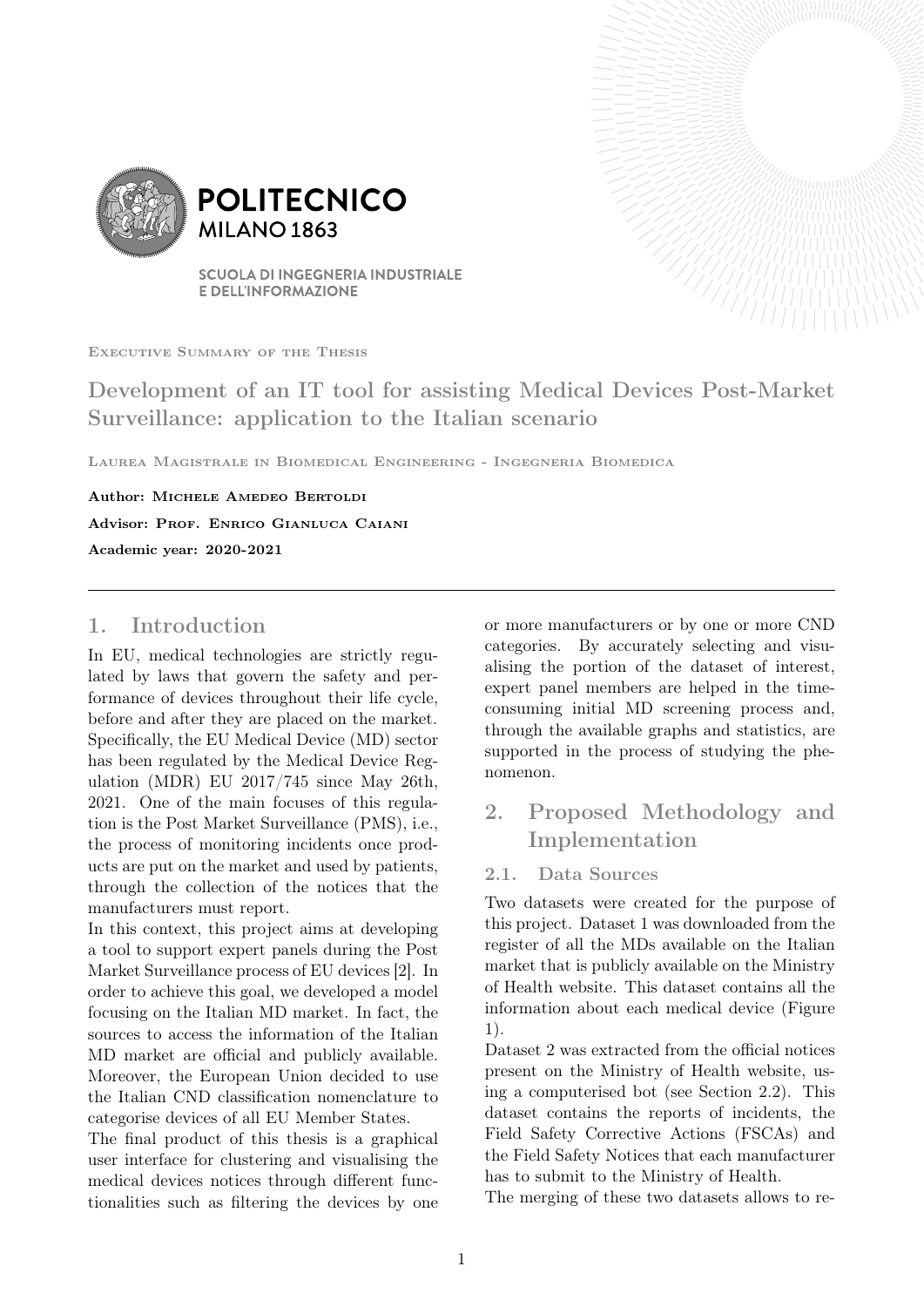

**POLITECNICO MILANO 1863** 

**SCUOLA DI INGEGNERIA INDUSTRIALE E DELL'INFORMAZIONE** 

Executive Summary of the Thesis

Development of an IT tool for assisting Medical Devices Post-Market Surveillance: application to the Italian scenario

Laurea Magistrale in Biomedical Engineering - Ingegneria Biomedica

Author: MICHELE AMEDEO BERTOLDI Advisor: Prof. Enrico Gianluca Caiani Academic year: 2020-2021

## 1. Introduction

In EU, medical technologies are strictly regulated by laws that govern the safety and performance of devices throughout their life cycle, before and after they are placed on the market. Specifically, the EU Medical Device (MD) sector has been regulated by the Medical Device Regulation (MDR) EU 2017/745 since May 26th, 2021. One of the main focuses of this regulation is the Post Market Surveillance (PMS), i.e., the process of monitoring incidents once products are put on the market and used by patients, through the collection of the notices that the manufacturers must report.

In this context, this project aims at developing a tool to support expert panels during the Post Market Surveillance process of EU devices [2]. In order to achieve this goal, we developed a model focusing on the Italian MD market. In fact, the sources to access the information of the Italian MD market are official and publicly available. Moreover, the European Union decided to use the Italian CND classification nomenclature to categorise devices of all EU Member States.

The final product of this thesis is a graphical user interface for clustering and visualising the medical devices notices through different functionalities such as filtering the devices by one or more manufacturers or by one or more CND categories. By accurately selecting and visualising the portion of the dataset of interest, expert panel members are helped in the timeconsuming initial MD screening process and, through the available graphs and statistics, are supported in the process of studying the phenomenon.

# 2. Proposed Methodology and Implementation

## 2.1. Data Sources

Two datasets were created for the purpose of this project. Dataset 1 was downloaded from the register of all the MDs available on the Italian market that is publicly available on the Ministry of Health website. This dataset contains all the information about each medical device (Figure 1).

Dataset 2 was extracted from the official notices present on the Ministry of Health website, using a computerised bot (see Section 2.2). This dataset contains the reports of incidents, the Field Safety Corrective Actions (FSCAs) and the Field Safety Notices that each manufacturer has to submit to the Ministry of Health.

The merging of these two datasets allows to re-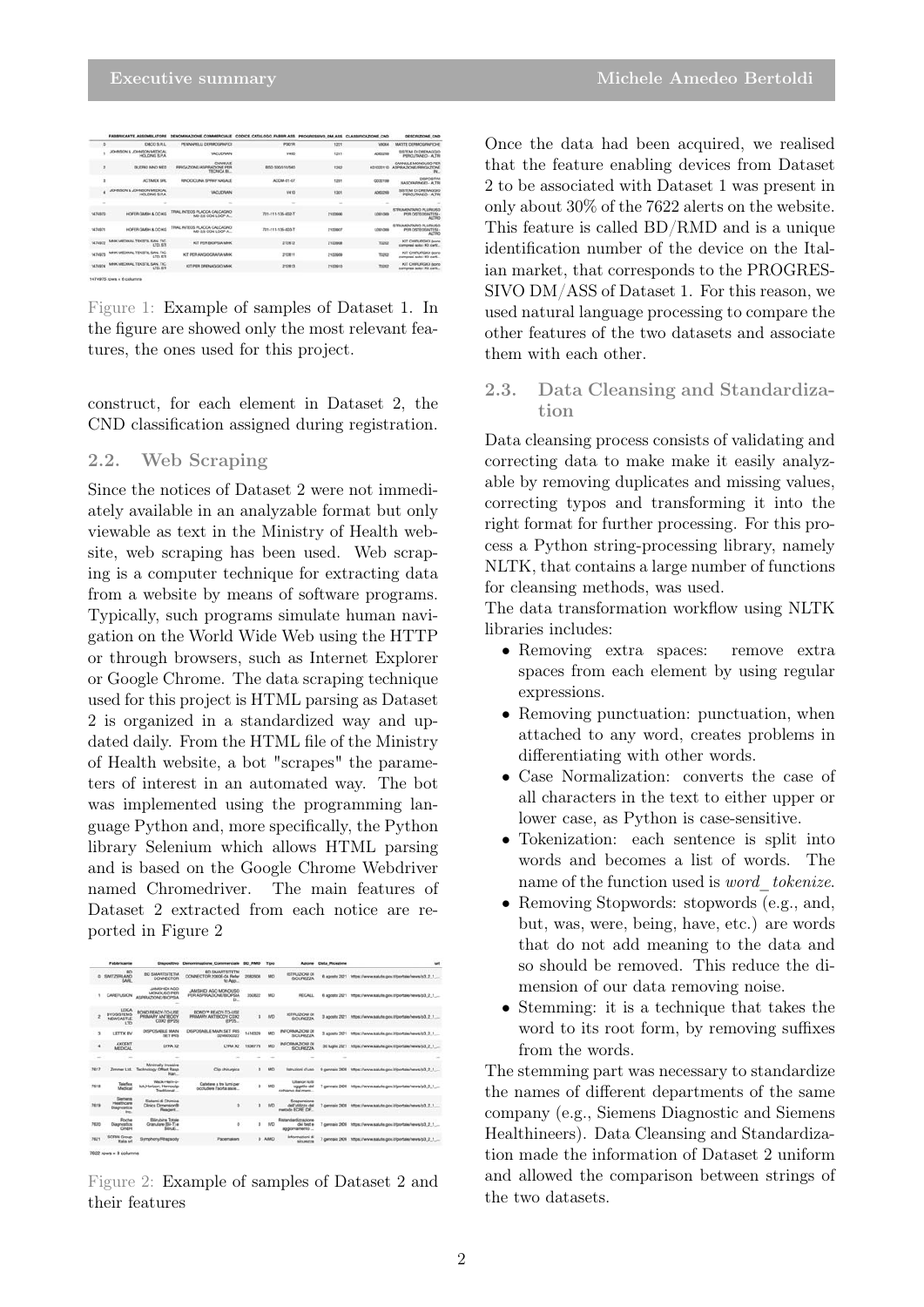|         | FABRICANTE, ANNEMILATORE                         | DENOMINAZIONE COMMERCIALE CODICE CATALOGO FABBIR ASS PROGRESSIVO DM ASS CLASSIFICAZIONE CNO |                        |         |                  | DESCRIZIONE, CNO                                          |
|---------|--------------------------------------------------|---------------------------------------------------------------------------------------------|------------------------|---------|------------------|-----------------------------------------------------------|
| s       | <b>IDACO S.R.L.</b>                              | PENNAPELLI DEFINOGRAFICI                                                                    | POD1R                  | 1221    | Valorial         | MATITE DEFINOSHAFICHE                                     |
|         | JOHNSON & JOHNSON MEDICAL<br>HICk CANG IL P.A.   | <b><i>VACUORAN</i></b>                                                                      | watch                  | 1241    | ADMIDING         | SISTEM DI DRENAGGIO<br>PERCURATO - ALTR                   |
|         | <b>BUILTING INNO MED</b>                         | CANNERS<br><b>SEUGA 2YOME ASPEAZIONE PER</b><br>TECHNOA BL.                                 | <b>BSD 500/510/560</b> | 1262    | <b>ADMISSION</b> | CANNULE MONOUSO PER<br>ASPEKATIONS/IRRIGATIONS<br>94.     |
|         | ACTIVATE SIN                                     | RINCKOCK INA SPRAY NASALE                                                                   | ACCAA D1-07            | 1281    | COMPINE          | DISPOSITM<br><b>NASCIFARMOEI- ALTR</b>                    |
|         | JOHNSON & JOHNSON MEDICAL<br>HOLDING S.RA.       | <b>VACLIDIMA</b>                                                                            | <b>WATO</b>            | 1301    | ADMIDSA          | SISTEM DI DRENADORO<br>PERCUTANIO - ALTR                  |
| $\sim$  |                                                  |                                                                                             |                        | $\sim$  | $\sim$           |                                                           |
| 1474870 | HOFER OMEH & CO KG                               | TRAL INTEGS PLACCA CALCAGNO<br>MI-3.5 CON LOOP A.                                           | 731-111-136-002-T      | 2100606 | Eddresse         | STRUMPATARIO PLURICISO<br>PER OSTEOSINTESI<br>ALTRO       |
| 1474071 | HOFER GMEHLA CO HO                               | TRAL INTEGS PLACCA CALCAGNO<br>MS-3.5 CON LOOP A.                                           | 731-111-136-003-T      | 2100007 | LOSTORE          | STRUMPATARIO PLURI ISO<br>PER OSTECIDATES<br><b>ALTRO</b> |
| 1474972 | MHK MEDIKAL TEKSTIL SAN, TIC.<br><b>LTD. STI</b> | KIT PER BIOPEIA MHK                                                                         | 212412                 | 2100908 | 70202            | KIT CHIRLINGICI (sono<br>compresi solo i Kit certi        |
| 1474973 | MHK MEDIKAL TEKETIL SAN, TIC.<br>LTD, STI        | KIT PER ANGIOGRAPIA MHK                                                                     | 212811                 | 2100609 | TORO             | KIT CHIRURGICI (www.<br>compress solo i XX certi          |
| 1474974 | MHK MEDIKAL TEKSTIL SAN, TIC.<br><b>LTD, STI</b> | KIT PER DRENAGGIO MHK                                                                       | 212813                 | 2100910 | 70202            | KIT CHRURGICI (sono<br>completed solo 1 Kit card.         |

Figure 1: Example of samples of Dataset 1. In the figure are showed only the most relevant features, the ones used for this project.

construct, for each element in Dataset 2, the CND classification assigned during registration.

#### 2.2. Web Scraping

Since the notices of Dataset 2 were not immediately available in an analyzable format but only viewable as text in the Ministry of Health website, web scraping has been used. Web scraping is a computer technique for extracting data from a website by means of software programs. Typically, such programs simulate human navigation on the World Wide Web using the HTTP or through browsers, such as Internet Explorer or Google Chrome. The data scraping technique used for this project is HTML parsing as Dataset 2 is organized in a standardized way and updated daily. From the HTML file of the Ministry of Health website, a bot "scrapes" the parameters of interest in an automated way. The bot was implemented using the programming language Python and, more specifically, the Python library Selenium which allows HTML parsing and is based on the Google Chrome Webdriver named Chromedriver. The main features of Dataset 2 extracted from each notice are reported in Figure 2

| Azione Data Ricezione                                         |                                                              | Tipo      |         | Dispositivo Denominazione Commerciale BD RMD            |                                                        | Fabbricante                                                         |                                    |
|---------------------------------------------------------------|--------------------------------------------------------------|-----------|---------|---------------------------------------------------------|--------------------------------------------------------|---------------------------------------------------------------------|------------------------------------|
| 6 agosto 2211 Hitps://www.salute.pou.tUportala/rews/c3_2_1    | <b>ISTRUZIONI DI</b><br><b>SICUREZZA</b>                     | MO        | 2082606 | BO SMARTS/TETM<br>CONNECTOR 2000E-04 Refer<br>to Ann    | <b>BO SMARTS/TETM</b><br>CONNECTOR                     | <b>BO</b><br>SWITZERLAND<br><b>SARL</b>                             | ٠                                  |
| 6 agosto 2321 https://www.salute.gov.t/portale/news/p3_2_1    | <b>FECALL</b>                                                | MD        | 350822  | JAMSHIDI AGO MONOUSO<br>FER ASPIRAZIONE/BIOPSIA<br>n.   | <b>JAMSHICK AGO</b><br>MONOK 60 PER<br>ASPEADONE/BOPSA | CAREFUSION                                                          |                                    |
| 3 agosto 221 https://www.salute.gov.f/portale/news/p3_2_1     | <b>ISTRUZIONE DE</b><br><b>SICUREZZA</b>                     | <b>ND</b> | ń       | BOND™ BEADV-TO-LISE<br>PRIMARY ANTIBODY COX2<br>(EP25.) | BOND READY-TO-USE<br>PRIMARY ANTIBODY<br>COX2 (EP25)   | <b>LEICA</b><br><b><i>BYOSSITEMS</i></b><br>NEWCASTLE<br><b>LTD</b> | ż                                  |
| 3 agosto 2321 https://www.taiula.gov.htportale/vews/p3_2_1    | INFORMAZIONE DE<br>SICUREZZA                                 | MD        | 1416329 | DISPOSABLE MAIN SET IRIS<br>0246050022                  | DISPOSABLE MAIN<br><b>SET PAS</b>                      | LETTIX BV                                                           | 3                                  |
| 30 luglio 2321 https://www.salute.gov.it/bortale/rewar/c3.2.1 | INFORMAZIONI DI<br>SICUREZZA                                 | MD        | 1006776 | <b>EVRA X2</b>                                          | <b>LYBA XZ</b>                                         | <b>AXCENT</b><br><b>METHCAL</b>                                     | ٠                                  |
|                                                               |                                                              |           |         |                                                         |                                                        |                                                                     |                                    |
| 9 gennaio 2009 https://www.aalute.gov.it/portale/news/p3_2_1  | <b>Istruzioni d'uno</b>                                      | MD        | ö       | Clip chinagical                                         | Minimally Invasive<br><b>Hart</b>                      |                                                                     | 7617                               |
| 7 gennaio 2009 https://www.salute.pou/bloomate/news/cd. 2 1   | <b>Litherical Julit</b><br>oggetto del<br>richigmo dal mare. | MD        | ö       | Catebora a tro lumi per<br>occludere l'aorta asce       | Wack-Ham-o-<br>lok.Horizon. Hermoclip<br>Traditional   | <b>Tolefiex</b><br>Medical                                          | 7618                               |
| 7 cennaio 2008 Hitps://www.salute.cov.it/portale/news/cd. 2.1 | Sospersione<br>dell'utilizzo del<br>metodo ECRE EX.          | ND        | ö       | ń                                                       | Saterni di Chimical<br>Clinica Dimension@<br>Reagers   | Sement<br><b>Healthcare</b><br>Diagnostics<br>Std.                  | 7619                               |
| 7 gennaio 2009 https://www.salute.gov.k/portale/rews/p3_2_1   | Ristandardizzazione<br>dial best a<br>aggiornamento          | <b>NO</b> | ø       | ö                                                       | Bilinubina Totale<br>Granulare (Sil-T) e<br>Blinds     | Roche<br>Diagnostics<br><b>GmbH</b>                                 | 7630                               |
| 7 gennaio 2009 https://www.salute.gouit/portale/news/p3_2_1   | Informazioni di<br>Situators                                 |           |         | Pacemakers                                              | Symphony/Rhapsody                                      | SORIN Group<br><b>Rails nri</b>                                     |                                    |
|                                                               |                                                              |           |         | 0 AMD                                                   |                                                        |                                                                     | Zimmer Ltd. Technology Offset Rasp |

Figure 2: Example of samples of Dataset 2 and their features

Once the data had been acquired, we realised that the feature enabling devices from Dataset 2 to be associated with Dataset 1 was present in only about 30% of the 7622 alerts on the website. This feature is called BD/RMD and is a unique identification number of the device on the Italian market, that corresponds to the PROGRES-SIVO DM/ASS of Dataset 1. For this reason, we used natural language processing to compare the other features of the two datasets and associate them with each other.

## 2.3. Data Cleansing and Standardization

Data cleansing process consists of validating and correcting data to make make it easily analyzable by removing duplicates and missing values, correcting typos and transforming it into the right format for further processing. For this process a Python string-processing library, namely NLTK, that contains a large number of functions for cleansing methods, was used.

The data transformation workflow using NLTK libraries includes:

- Removing extra spaces: remove extra spaces from each element by using regular expressions.
- Removing punctuation: punctuation, when attached to any word, creates problems in differentiating with other words.
- Case Normalization: converts the case of all characters in the text to either upper or lower case, as Python is case-sensitive.
- Tokenization: each sentence is split into words and becomes a list of words. The name of the function used is *word* tokenize.
- Removing Stopwords: stopwords (e.g., and, but, was, were, being, have, etc.) are words that do not add meaning to the data and so should be removed. This reduce the dimension of our data removing noise.
- Stemming: it is a technique that takes the word to its root form, by removing suffixes from the words.

The stemming part was necessary to standardize the names of different departments of the same company (e.g., Siemens Diagnostic and Siemens Healthineers). Data Cleansing and Standardization made the information of Dataset 2 uniform and allowed the comparison between strings of the two datasets.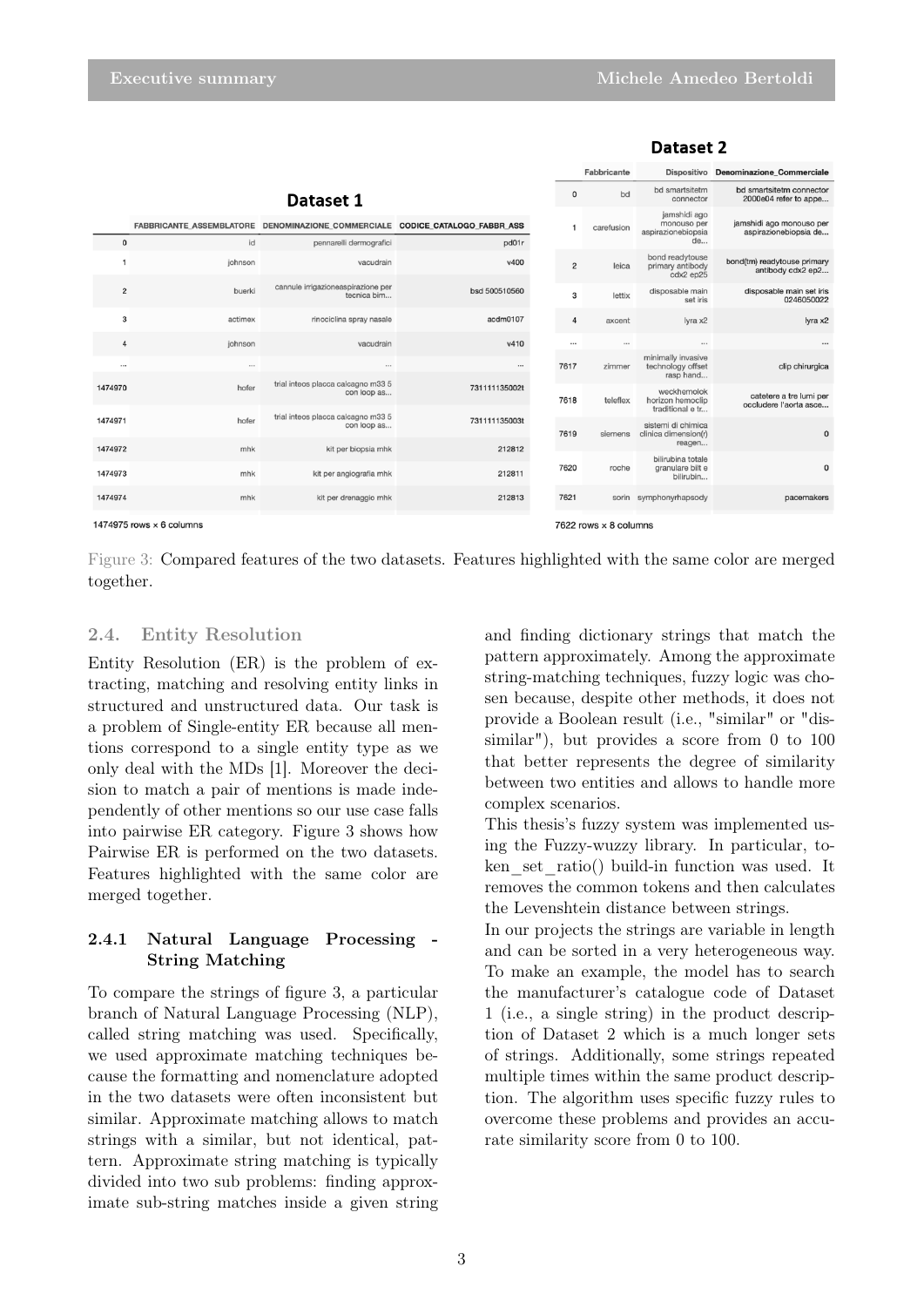|                |                                                                 |                                                                              |               | Fabbricante |                             | Dispositivo Denominazione_Commerciale                   |                                                   |  |
|----------------|-----------------------------------------------------------------|------------------------------------------------------------------------------|---------------|-------------|-----------------------------|---------------------------------------------------------|---------------------------------------------------|--|
|                |                                                                 | Dataset 1                                                                    | 0             | bd          | bd smartsitetm<br>connector | bd smartsitetm connector<br>2000e04 refer to appe       |                                                   |  |
|                |                                                                 | FABBRICANTE_ASSEMBLATORE DENOMINAZIONE_COMMERCIALE CODICE_CATALOGO_FABBR_ASS |               |             | carefusion                  | jamshidi ago<br>monouso per<br>aspirazionebiopsia<br>de | jamshidi ago monouso per<br>aspirazionebiopsia de |  |
| $\Omega$       | id<br>johnson                                                   | pennarelli dermografici<br>vacudrain                                         | pd01r<br>v400 | 2           | leica                       | bond readytouse<br>primary antibody<br>cdx2 ep25        | bond(tm) readytouse primary<br>antibody cdx2 ep2  |  |
| $\overline{c}$ | buerki                                                          | cannule irrigazioneaspirazione per<br>tecnica bim                            | bsd 500510560 | 3           | lettix                      | disposable main<br>set iris                             | disposable main set iris<br>0246050022            |  |
| 3              | actimex                                                         | rinociclina spray nasale                                                     | acdm0107      | 4           | axcent                      | lyra x2                                                 | lyra x2                                           |  |
| $\overline{4}$ | johnson                                                         | vacudrain                                                                    | v410          |             |                             | $\cdots$                                                |                                                   |  |
|                |                                                                 |                                                                              |               | 7617        | zimmer                      | minimally invasive<br>technology offset<br>rasp hand    | clip chirurgica                                   |  |
| 1474970        | hofer                                                           | trial inteos placca calcagno m33 5<br>con loop as                            | 731111135002t | 7618        | teleflex                    | weckhemolok<br>horizon hemoclip<br>traditional e tr     | catetere a tre lumi per<br>occludere l'aorta asce |  |
| 1474971        | hofer                                                           | trial inteos placca calcagno m33 5<br>con loop as                            | 731111135003t | 7619        | siemens                     | sistemi di chimica<br>clinica dimension(r)              | $\mathbf 0$                                       |  |
| 1474972        | mhk                                                             | kit per biopsia mhk                                                          | 212812        |             |                             | reagen<br>bilirubina totale                             |                                                   |  |
| 1474973        | mhk                                                             | kit per angiografia mhk                                                      | 212811        | 7620        | roche                       | granulare bilt e<br>bilirubin                           | 0                                                 |  |
| 1474974        | mhk                                                             | kit per drenaggio mhk                                                        | 212813        | 7621        | sorin                       | symphonyrhapsody                                        | pacemakers                                        |  |
|                | 1474975 rows $\times$ 6 columns<br>7622 rows $\times$ 8 columns |                                                                              |               |             |                             |                                                         |                                                   |  |

#### Dataset 2

Figure 3: Compared features of the two datasets. Features highlighted with the same color are merged together.

#### 2.4. Entity Resolution

Entity Resolution (ER) is the problem of extracting, matching and resolving entity links in structured and unstructured data. Our task is a problem of Single-entity ER because all mentions correspond to a single entity type as we only deal with the MDs [1]. Moreover the decision to match a pair of mentions is made independently of other mentions so our use case falls into pairwise ER category. Figure 3 shows how Pairwise ER is performed on the two datasets. Features highlighted with the same color are merged together.

#### 2.4.1 Natural Language Processing - String Matching

To compare the strings of figure 3, a particular branch of Natural Language Processing (NLP), called string matching was used. Specifically, we used approximate matching techniques because the formatting and nomenclature adopted in the two datasets were often inconsistent but similar. Approximate matching allows to match strings with a similar, but not identical, pattern. Approximate string matching is typically divided into two sub problems: finding approximate sub-string matches inside a given string

and finding dictionary strings that match the pattern approximately. Among the approximate string-matching techniques, fuzzy logic was chosen because, despite other methods, it does not provide a Boolean result (i.e., "similar" or "dissimilar"), but provides a score from 0 to 100 that better represents the degree of similarity between two entities and allows to handle more complex scenarios.

This thesis's fuzzy system was implemented using the Fuzzy-wuzzy library. In particular, token\_set\_ratio() build-in function was used. It removes the common tokens and then calculates the Levenshtein distance between strings.

In our projects the strings are variable in length and can be sorted in a very heterogeneous way. To make an example, the model has to search the manufacturer's catalogue code of Dataset 1 (i.e., a single string) in the product description of Dataset 2 which is a much longer sets of strings. Additionally, some strings repeated multiple times within the same product description. The algorithm uses specific fuzzy rules to overcome these problems and provides an accurate similarity score from 0 to 100.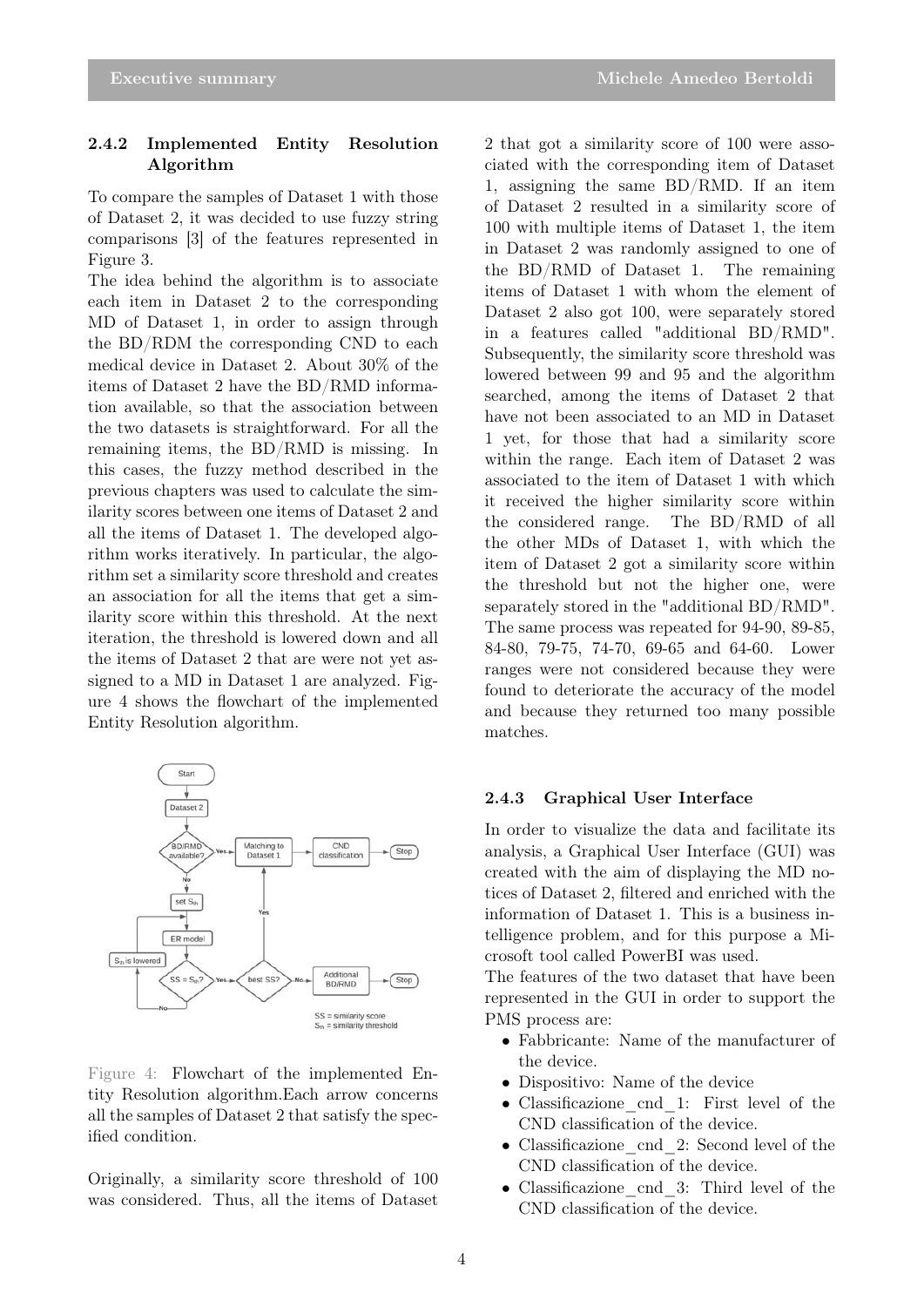### 2.4.2 Implemented Entity Resolution Algorithm

To compare the samples of Dataset 1 with those of Dataset 2, it was decided to use fuzzy string comparisons [3] of the features represented in Figure 3.

The idea behind the algorithm is to associate each item in Dataset 2 to the corresponding MD of Dataset 1, in order to assign through the BD/RDM the corresponding CND to each medical device in Dataset 2. About 30% of the items of Dataset 2 have the BD/RMD information available, so that the association between the two datasets is straightforward. For all the remaining items, the BD/RMD is missing. In this cases, the fuzzy method described in the previous chapters was used to calculate the similarity scores between one items of Dataset 2 and all the items of Dataset 1. The developed algorithm works iteratively. In particular, the algorithm set a similarity score threshold and creates an association for all the items that get a similarity score within this threshold. At the next iteration, the threshold is lowered down and all the items of Dataset 2 that are were not yet assigned to a MD in Dataset 1 are analyzed. Figure 4 shows the flowchart of the implemented Entity Resolution algorithm.



Figure 4: Flowchart of the implemented Entity Resolution algorithm.Each arrow concerns all the samples of Dataset 2 that satisfy the specified condition.

Originally, a similarity score threshold of 100 was considered. Thus, all the items of Dataset

2 that got a similarity score of 100 were associated with the corresponding item of Dataset 1, assigning the same BD/RMD. If an item of Dataset 2 resulted in a similarity score of 100 with multiple items of Dataset 1, the item in Dataset 2 was randomly assigned to one of the BD/RMD of Dataset 1. The remaining items of Dataset 1 with whom the element of Dataset 2 also got 100, were separately stored in a features called "additional BD/RMD". Subsequently, the similarity score threshold was lowered between 99 and 95 and the algorithm searched, among the items of Dataset 2 that have not been associated to an MD in Dataset 1 yet, for those that had a similarity score within the range. Each item of Dataset 2 was associated to the item of Dataset 1 with which it received the higher similarity score within the considered range. The BD/RMD of all the other MDs of Dataset 1, with which the item of Dataset 2 got a similarity score within the threshold but not the higher one, were separately stored in the "additional BD/RMD". The same process was repeated for 94-90, 89-85, 84-80, 79-75, 74-70, 69-65 and 64-60. Lower ranges were not considered because they were found to deteriorate the accuracy of the model and because they returned too many possible matches.

#### 2.4.3 Graphical User Interface

In order to visualize the data and facilitate its analysis, a Graphical User Interface (GUI) was created with the aim of displaying the MD notices of Dataset 2, filtered and enriched with the information of Dataset 1. This is a business intelligence problem, and for this purpose a Microsoft tool called PowerBI was used.

The features of the two dataset that have been represented in the GUI in order to support the PMS process are:

- Fabbricante: Name of the manufacturer of the device.
- Dispositivo: Name of the device
- Classificazione\_cnd\_1: First level of the CND classification of the device.
- Classificazione\_cnd\_2: Second level of the CND classification of the device.
- Classificazione cnd 3: Third level of the CND classification of the device.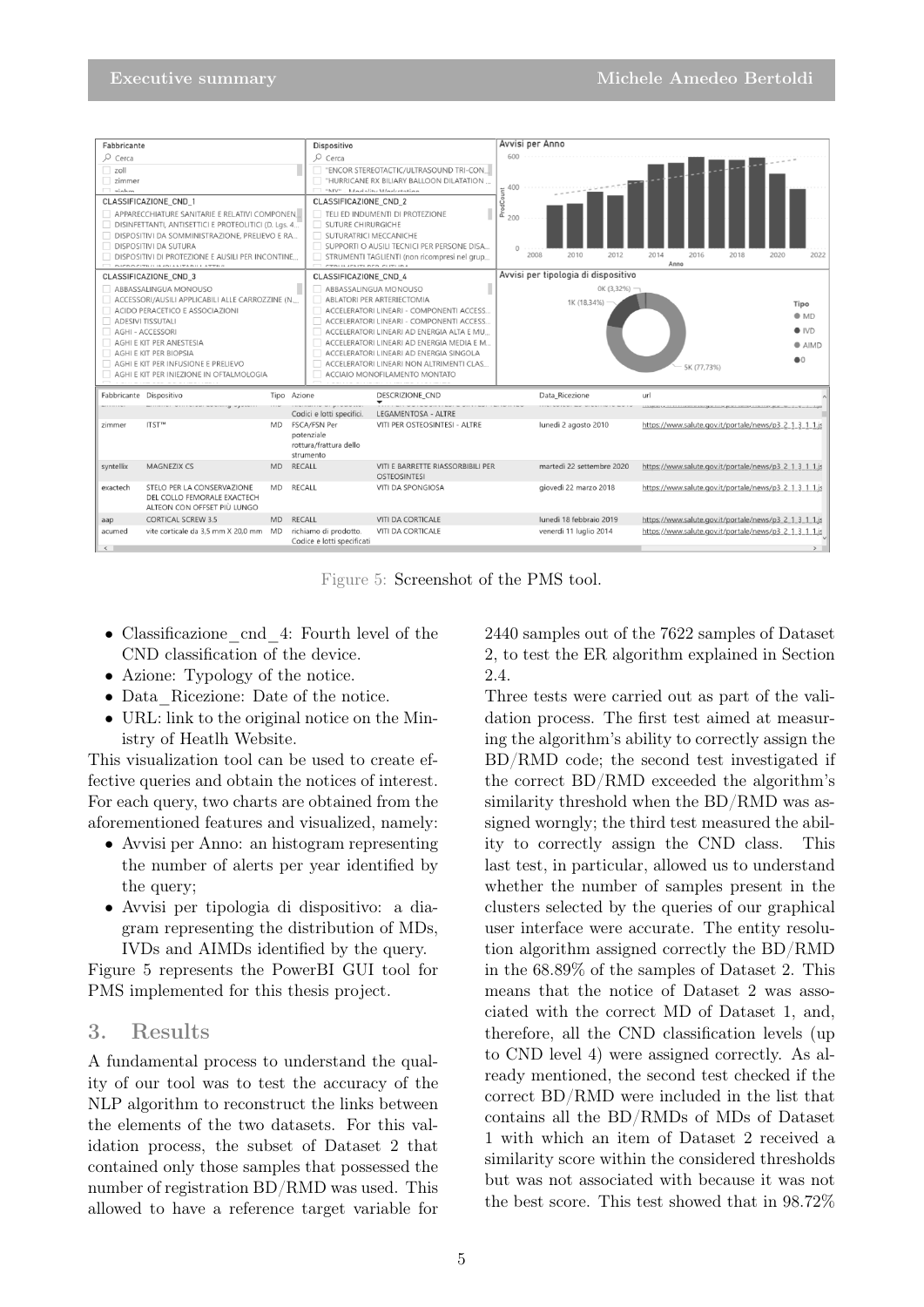

Figure 5: Screenshot of the PMS tool.

- Classificazione\_cnd\_4: Fourth level of the CND classification of the device.
- Azione: Typology of the notice.
- Data Ricezione: Date of the notice.
- URL: link to the original notice on the Ministry of Heatlh Website.

This visualization tool can be used to create effective queries and obtain the notices of interest. For each query, two charts are obtained from the aforementioned features and visualized, namely:

- Avvisi per Anno: an histogram representing the number of alerts per year identified by the query;
- Avvisi per tipologia di dispositivo: a diagram representing the distribution of MDs, IVDs and AIMDs identified by the query.

Figure 5 represents the PowerBI GUI tool for PMS implemented for this thesis project.

## 3. Results

A fundamental process to understand the quality of our tool was to test the accuracy of the NLP algorithm to reconstruct the links between the elements of the two datasets. For this validation process, the subset of Dataset 2 that contained only those samples that possessed the number of registration BD/RMD was used. This allowed to have a reference target variable for

2440 samples out of the 7622 samples of Dataset 2, to test the ER algorithm explained in Section 2.4.

Three tests were carried out as part of the validation process. The first test aimed at measuring the algorithm's ability to correctly assign the BD/RMD code; the second test investigated if the correct BD/RMD exceeded the algorithm's similarity threshold when the BD/RMD was assigned worngly; the third test measured the ability to correctly assign the CND class. This last test, in particular, allowed us to understand whether the number of samples present in the clusters selected by the queries of our graphical user interface were accurate. The entity resolution algorithm assigned correctly the BD/RMD in the 68.89% of the samples of Dataset 2. This means that the notice of Dataset 2 was associated with the correct MD of Dataset 1, and, therefore, all the CND classification levels (up to CND level 4) were assigned correctly. As already mentioned, the second test checked if the correct BD/RMD were included in the list that contains all the BD/RMDs of MDs of Dataset 1 with which an item of Dataset 2 received a similarity score within the considered thresholds but was not associated with because it was not the best score. This test showed that in 98.72%